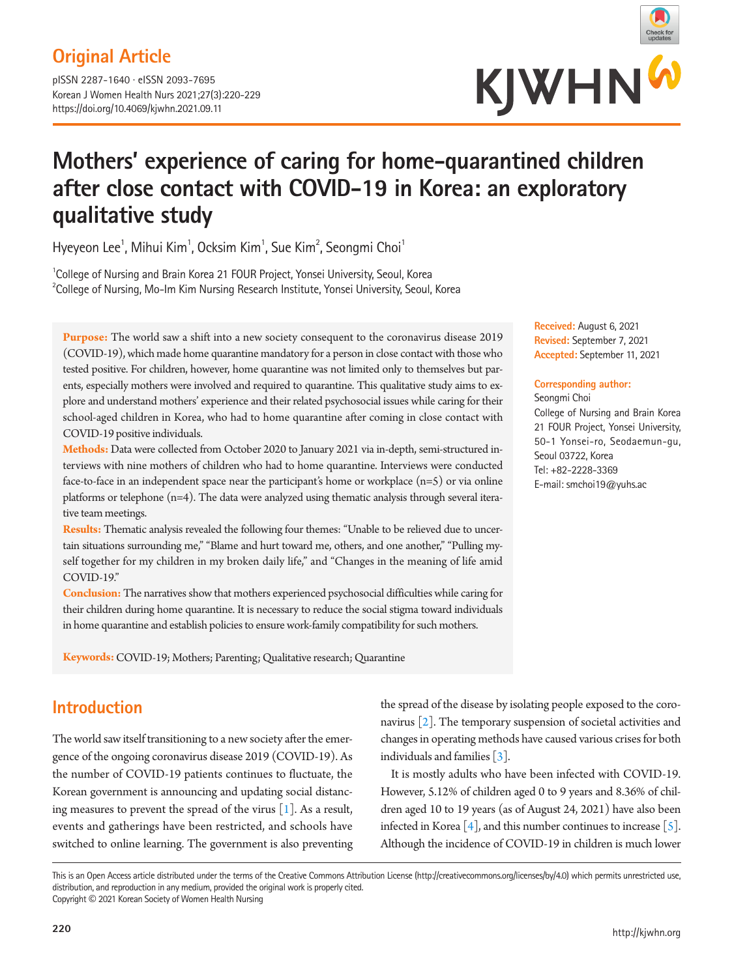## **Original Article**

pISSN 2287-1640 · eISSN 2093-7695 Korean J Women Health Nurs 2021;27(3):220-229 https://doi.org/10.4069/kjwhn.2021.09.11



# **Mothers' experience of caring for home-quarantined children after close contact with COVID-19 in Korea: an exploratory qualitative study**

Hyeyeon Lee<sup>1</sup>, Mihui Kim<sup>1</sup>, Ocksim Kim<sup>1</sup>, Sue Kim<sup>2</sup>, Seongmi Choi<sup>1</sup>

<sup>1</sup>College of Nursing and Brain Korea 21 FOUR Project, Yonsei University, Seoul, Korea  $^{2}$ College of Nursing, Mo-Im Kim Nursing Research Institute, Yonsei University, Seoul, Korea

**Purpose:** The world saw a shift into a new society consequent to the coronavirus disease 2019 (COVID-19), which made home quarantine mandatory for a person in close contact with those who tested positive. For children, however, home quarantine was not limited only to themselves but parents, especially mothers were involved and required to quarantine. This qualitative study aims to explore and understand mothers' experience and their related psychosocial issues while caring for their school-aged children in Korea, who had to home quarantine after coming in close contact with COVID-19 positive individuals.

**Methods:** Data were collected from October 2020 to January 2021 via in-depth, semi-structured interviews with nine mothers of children who had to home quarantine. Interviews were conducted face-to-face in an independent space near the participant's home or workplace (n=5) or via online platforms or telephone (n=4). The data were analyzed using thematic analysis through several iterative team meetings.

**Results:** Thematic analysis revealed the following four themes: "Unable to be relieved due to uncertain situations surrounding me," "Blame and hurt toward me, others, and one another," "Pulling myself together for my children in my broken daily life," and "Changes in the meaning of life amid COVID-19."

**Conclusion:** The narratives show that mothers experienced psychosocial difficulties while caring for their children during home quarantine. It is necessary to reduce the social stigma toward individuals in home quarantine and establish policies to ensure work-family compatibility for such mothers.

**Keywords:** COVID-19; Mothers; Parenting; Qualitative research; Quarantine

## **Introduction**

The world saw itself transitioning to a new society after the emergence of the ongoing coronavirus disease 2019 (COVID-19). As the number of COVID-19 patients continues to fluctuate, the Korean government is announcing and updating social distancing measures to prevent the spread of the virus  $[1]$  $[1]$ . As a result, events and gatherings have been restricted, and schools have switched to online learning. The government is also preventing

the spread of the disease by isolating people exposed to the coronavirus [\[2\]](#page-7-1). The temporary suspension of societal activities and changes in operating methods have caused various crises for both individuals and families [\[3](#page-8-0)].

It is mostly adults who have been infected with COVID-19. However, 5.12% of children aged 0 to 9 years and 8.36% of children aged 10 to 19 years (as of August 24, 2021) have also been infected in Korea  $[4]$  $[4]$ , and this number continues to increase  $[5]$ . Although the incidence of COVID-19 in children is much lower

This is an Open Access article distributed under the terms of the Creative Commons Attribution License (http://creativecommons.org/licenses/by/4.0) which permits unrestricted use, distribution, and reproduction in any medium, provided the original work is properly cited. Copyright © 2021 Korean Society of Women Health Nursing

**Received:** August 6, 2021 **Revised:** September 7, 2021 **Accepted:** September 11, 2021

### **Corresponding author:**

Seongmi Choi College of Nursing and Brain Korea 21 FOUR Project, Yonsei University, 50-1 Yonsei-ro, Seodaemun-gu, Seoul 03722, Korea Tel: +82-2228-3369 E-mail: smchoi19@yuhs.ac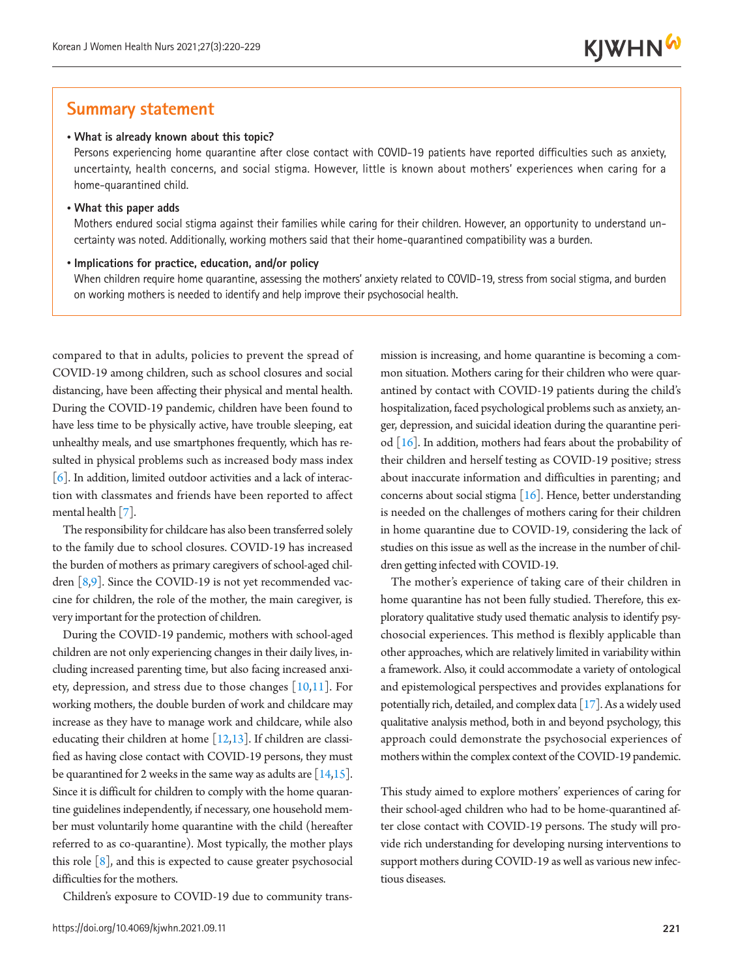## **Summary statement**

### • **What is already known about this topic?**

Persons experiencing home quarantine after close contact with COVID-19 patients have reported difficulties such as anxiety, uncertainty, health concerns, and social stigma. However, little is known about mothers' experiences when caring for a home-quarantined child.

#### • **What this paper adds**

Mothers endured social stigma against their families while caring for their children. However, an opportunity to understand uncertainty was noted. Additionally, working mothers said that their home-quarantined compatibility was a burden.

#### • **Implications for practice, education, and/or policy**

When children require home quarantine, assessing the mothers' anxiety related to COVID-19, stress from social stigma, and burden on working mothers is needed to identify and help improve their psychosocial health.

compared to that in adults, policies to prevent the spread of COVID-19 among children, such as school closures and social distancing, have been affecting their physical and mental health. During the COVID-19 pandemic, children have been found to have less time to be physically active, have trouble sleeping, eat unhealthy meals, and use smartphones frequently, which has resulted in physical problems such as increased body mass index [\[6](#page-8-3)]. In addition, limited outdoor activities and a lack of interaction with classmates and friends have been reported to affect mental health [\[7\]](#page-8-4).

The responsibility for childcare has also been transferred solely to the family due to school closures. COVID-19 has increased the burden of mothers as primary caregivers of school-aged children [\[8,](#page-8-5)[9\]](#page-8-6). Since the COVID-19 is not yet recommended vaccine for children, the role of the mother, the main caregiver, is very important for the protection of children.

During the COVID-19 pandemic, mothers with school-aged children are not only experiencing changes in their daily lives, including increased parenting time, but also facing increased anxiety, depression, and stress due to those changes [\[10](#page-8-7)[,11](#page-8-8)]. For working mothers, the double burden of work and childcare may increase as they have to manage work and childcare, while also educating their children at home [\[12](#page-8-6)[,13\]](#page-8-9). If children are classified as having close contact with COVID-19 persons, they must be quarantined for 2 weeks in the same way as adults are  $[14,15]$  $[14,15]$  $[14,15]$ . Since it is difficult for children to comply with the home quarantine guidelines independently, if necessary, one household member must voluntarily home quarantine with the child (hereafter referred to as co-quarantine). Most typically, the mother plays this role  $[8]$ , and this is expected to cause greater psychosocial difficulties for the mothers.

Children's exposure to COVID-19 due to community trans-

mission is increasing, and home quarantine is becoming a common situation. Mothers caring for their children who were quarantined by contact with COVID-19 patients during the child's hospitalization, faced psychological problems such as anxiety, anger, depression, and suicidal ideation during the quarantine period [\[16](#page-8-12)]. In addition, mothers had fears about the probability of their children and herself testing as COVID-19 positive; stress about inaccurate information and difficulties in parenting; and concerns about social stigma  $[16]$  $[16]$ . Hence, better understanding is needed on the challenges of mothers caring for their children in home quarantine due to COVID-19, considering the lack of studies on this issue as well as the increase in the number of children getting infected with COVID-19.

The mother's experience of taking care of their children in home quarantine has not been fully studied. Therefore, this exploratory qualitative study used thematic analysis to identify psychosocial experiences. This method is flexibly applicable than other approaches, which are relatively limited in variability within a framework. Also, it could accommodate a variety of ontological and epistemological perspectives and provides explanations for potentially rich, detailed, and complex data [[17](#page-8-11)]. As a widely used qualitative analysis method, both in and beyond psychology, this approach could demonstrate the psychosocial experiences of mothers within the complex context of the COVID-19 pandemic.

This study aimed to explore mothers' experiences of caring for their school-aged children who had to be home-quarantined after close contact with COVID-19 persons. The study will provide rich understanding for developing nursing interventions to support mothers during COVID-19 as well as various new infectious diseases.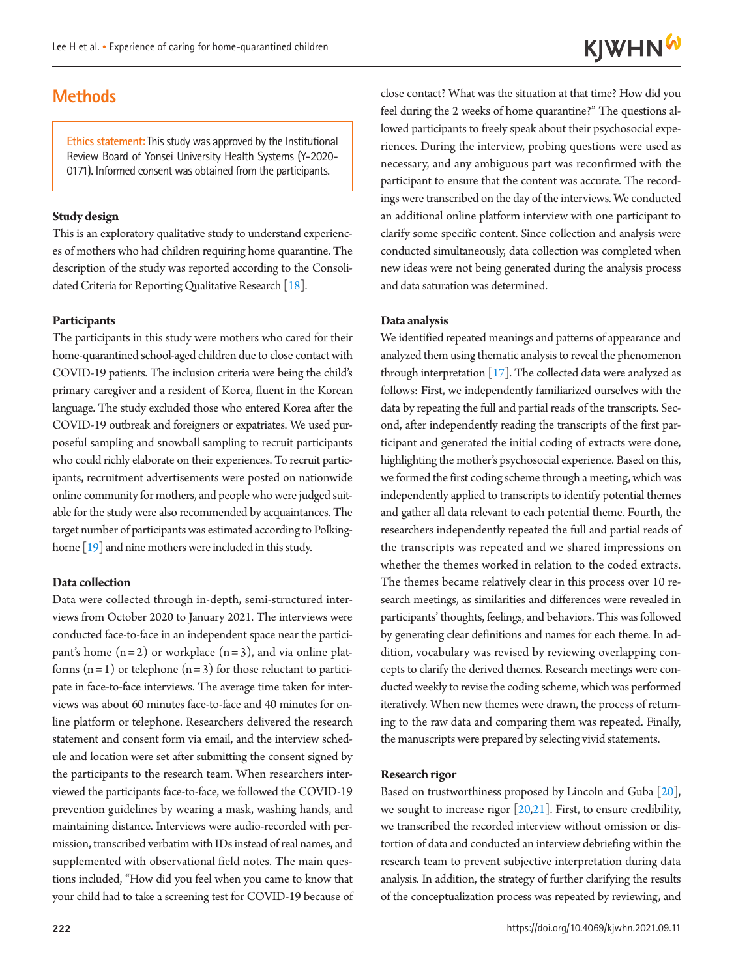## **Methods**

**Ethics statement:**This study was approved by the Institutional Review Board of Yonsei University Health Systems (Y-2020- 0171). Informed consent was obtained from the participants.

### **Study design**

This is an exploratory qualitative study to understand experiences of mothers who had children requiring home quarantine. The description of the study was reported according to the Consolidated Criteria for Reporting Qualitative Research [\[18\]](#page-8-13).

#### **Participants**

The participants in this study were mothers who cared for their home-quarantined school-aged children due to close contact with COVID-19 patients. The inclusion criteria were being the child's primary caregiver and a resident of Korea, fluent in the Korean language. The study excluded those who entered Korea after the COVID-19 outbreak and foreigners or expatriates. We used purposeful sampling and snowball sampling to recruit participants who could richly elaborate on their experiences. To recruit participants, recruitment advertisements were posted on nationwide online community for mothers, and people who were judged suitable for the study were also recommended by acquaintances. The target number of participants was estimated according to Polking-horne [[19](#page-8-14)] and nine mothers were included in this study.

### **Data collection**

Data were collected through in-depth, semi-structured interviews from October 2020 to January 2021. The interviews were conducted face-to-face in an independent space near the participant's home  $(n=2)$  or workplace  $(n=3)$ , and via online platforms  $(n=1)$  or telephone  $(n=3)$  for those reluctant to participate in face-to-face interviews. The average time taken for interviews was about 60 minutes face-to-face and 40 minutes for online platform or telephone. Researchers delivered the research statement and consent form via email, and the interview schedule and location were set after submitting the consent signed by the participants to the research team. When researchers interviewed the participants face-to-face, we followed the COVID-19 prevention guidelines by wearing a mask, washing hands, and maintaining distance. Interviews were audio-recorded with permission, transcribed verbatim with IDs instead of real names, and supplemented with observational field notes. The main questions included, "How did you feel when you came to know that your child had to take a screening test for COVID-19 because of

**222**

close contact? What was the situation at that time? How did you feel during the 2 weeks of home quarantine?" The questions allowed participants to freely speak about their psychosocial experiences. During the interview, probing questions were used as necessary, and any ambiguous part was reconfirmed with the participant to ensure that the content was accurate. The recordings were transcribed on the day of the interviews. We conducted an additional online platform interview with one participant to clarify some specific content. Since collection and analysis were conducted simultaneously, data collection was completed when new ideas were not being generated during the analysis process and data saturation was determined.

### **Data analysis**

We identified repeated meanings and patterns of appearance and analyzed them using thematic analysis to reveal the phenomenon through interpretation  $[17]$ . The collected data were analyzed as follows: First, we independently familiarized ourselves with the data by repeating the full and partial reads of the transcripts. Second, after independently reading the transcripts of the first participant and generated the initial coding of extracts were done, highlighting the mother's psychosocial experience. Based on this, we formed the first coding scheme through a meeting, which was independently applied to transcripts to identify potential themes and gather all data relevant to each potential theme. Fourth, the researchers independently repeated the full and partial reads of the transcripts was repeated and we shared impressions on whether the themes worked in relation to the coded extracts. The themes became relatively clear in this process over 10 research meetings, as similarities and differences were revealed in participants' thoughts, feelings, and behaviors. This was followed by generating clear definitions and names for each theme. In addition, vocabulary was revised by reviewing overlapping concepts to clarify the derived themes. Research meetings were conducted weekly to revise the coding scheme, which was performed iteratively. When new themes were drawn, the process of returning to the raw data and comparing them was repeated. Finally, the manuscripts were prepared by selecting vivid statements.

#### **Research rigor**

Based on trustworthiness proposed by Lincoln and Guba [\[20\]](#page-8-15), we sought to increase rigor [\[20](#page-8-15)[,21](#page-8-16)]. First, to ensure credibility, we transcribed the recorded interview without omission or distortion of data and conducted an interview debriefing within the research team to prevent subjective interpretation during data analysis. In addition, the strategy of further clarifying the results of the conceptualization process was repeated by reviewing, and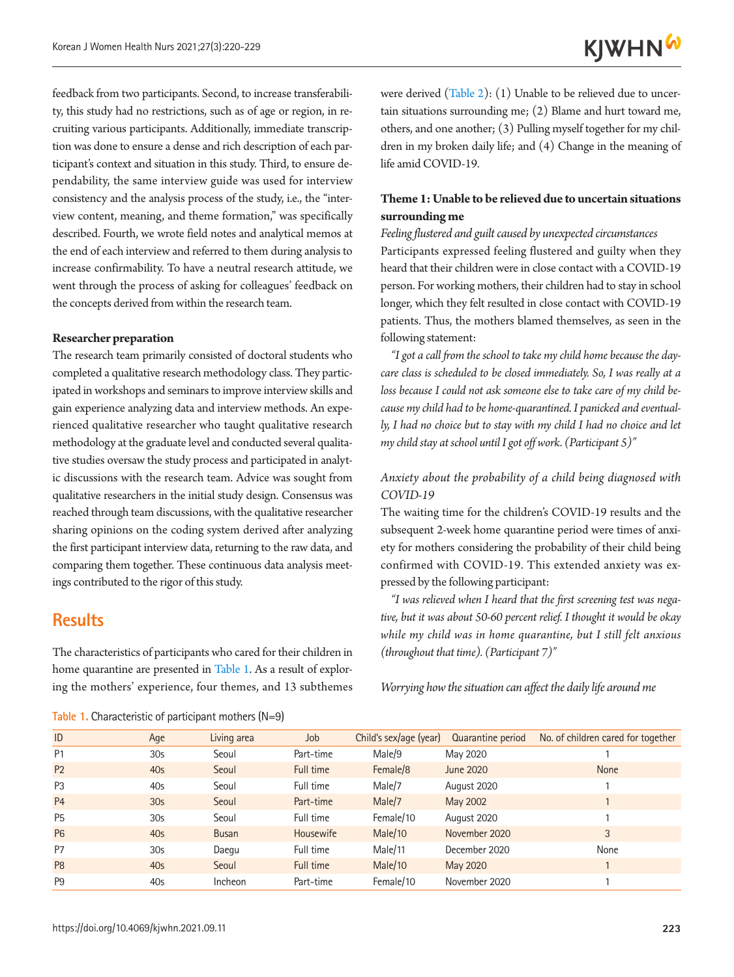feedback from two participants. Second, to increase transferability, this study had no restrictions, such as of age or region, in recruiting various participants. Additionally, immediate transcription was done to ensure a dense and rich description of each participant's context and situation in this study. Third, to ensure dependability, the same interview guide was used for interview consistency and the analysis process of the study, i.e., the "interview content, meaning, and theme formation," was specifically described. Fourth, we wrote field notes and analytical memos at the end of each interview and referred to them during analysis to increase confirmability. To have a neutral research attitude, we went through the process of asking for colleagues' feedback on the concepts derived from within the research team.

### **Researcher preparation**

The research team primarily consisted of doctoral students who completed a qualitative research methodology class. They participated in workshops and seminars to improve interview skills and gain experience analyzing data and interview methods. An experienced qualitative researcher who taught qualitative research methodology at the graduate level and conducted several qualitative studies oversaw the study process and participated in analytic discussions with the research team. Advice was sought from qualitative researchers in the initial study design. Consensus was reached through team discussions, with the qualitative researcher sharing opinions on the coding system derived after analyzing the first participant interview data, returning to the raw data, and comparing them together. These continuous data analysis meetings contributed to the rigor of this study.

### **Results**

The characteristics of participants who cared for their children in home quarantine are presented in Table 1. As a result of exploring the mothers' experience, four themes, and 13 subthemes were derived (Table 2): (1) Unable to be relieved due to uncertain situations surrounding me; (2) Blame and hurt toward me, others, and one another; (3) Pulling myself together for my children in my broken daily life; and (4) Change in the meaning of life amid COVID-19.

### **Theme 1: Unable to be relieved due to uncertain situations surrounding me**

*Feeling flustered and guilt caused by unexpected circumstances*  Participants expressed feeling flustered and guilty when they heard that their children were in close contact with a COVID-19 person. For working mothers, their children had to stay in school longer, which they felt resulted in close contact with COVID-19 patients. Thus, the mothers blamed themselves, as seen in the following statement:

*"I got a call from the school to take my child home because the daycare class is scheduled to be closed immediately. So, I was really at a loss because I could not ask someone else to take care of my child because my child had to be home-quarantined. I panicked and eventually, I had no choice but to stay with my child I had no choice and let my child stay at school until I got off work. (Participant 5)"* 

### *Anxiety about the probability of a child being diagnosed with COVID-19*

The waiting time for the children's COVID-19 results and the subsequent 2-week home quarantine period were times of anxiety for mothers considering the probability of their child being confirmed with COVID-19. This extended anxiety was expressed by the following participant:

*"I was relieved when I heard that the first screening test was negative, but it was about 50-60 percent relief. I thought it would be okay while my child was in home quarantine, but I still felt anxious (throughout that time). (Participant 7)"* 

*Worrying how the situation can affect the daily life around me* 

| ID             | Age             | Living area  | Job              | Child's sex/age (year) | Quarantine period | No. of children cared for together |
|----------------|-----------------|--------------|------------------|------------------------|-------------------|------------------------------------|
| P <sub>1</sub> | 30 <sub>5</sub> | Seoul        | Part-time        | Male/9                 | May 2020          |                                    |
| <b>P2</b>      | 40 <sub>S</sub> | Seoul        | Full time        | Female/8               | June 2020         | <b>None</b>                        |
| P <sub>3</sub> | 40s             | Seoul        | Full time        | Male/7                 | August 2020       |                                    |
| <b>P4</b>      | 30 <sub>S</sub> | Seoul        | Part-time        | Male/7                 | May 2002          |                                    |
| <b>P5</b>      | 30 <sub>5</sub> | Seoul        | Full time        | Female/10              | August 2020       |                                    |
| <b>P6</b>      | 40 <sub>S</sub> | <b>Busan</b> | <b>Housewife</b> | Male/10                | November 2020     | 3                                  |
| P <sub>7</sub> | 30 <sub>5</sub> | Daegu        | Full time        | Male/11                | December 2020     | None                               |
| P <sub>8</sub> | 40 <sub>S</sub> | Seoul        | Full time        | Male/10                | May 2020          |                                    |
| P <sub>9</sub> | 40s             | Incheon      | Part-time        | Female/10              | November 2020     |                                    |

**Table 1.** Characteristic of participant mothers (N=9)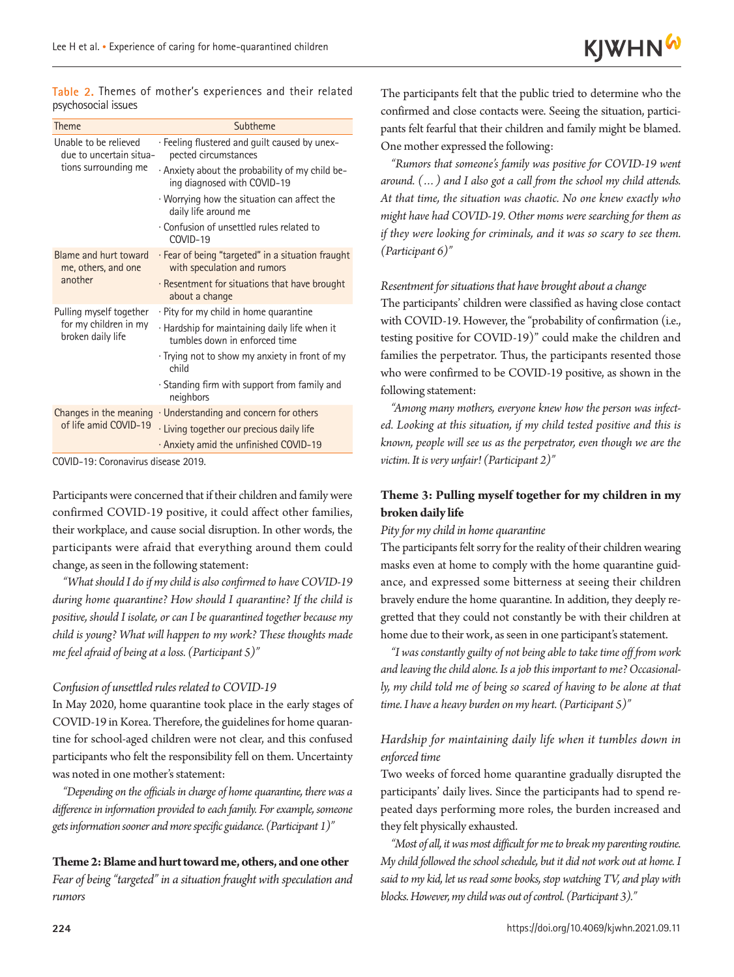**Table 2.** Themes of mother's experiences and their related psychosocial issues

| Theme                                            | Subtheme                                                                         |  |  |  |
|--------------------------------------------------|----------------------------------------------------------------------------------|--|--|--|
| Unable to be relieved<br>due to uncertain situa- | · Feeling flustered and guilt caused by unex-<br>pected circumstances            |  |  |  |
| tions surrounding me                             | . Anxiety about the probability of my child be-<br>ing diagnosed with COVID-19   |  |  |  |
|                                                  | Worrying how the situation can affect the<br>daily life around me                |  |  |  |
|                                                  | · Confusion of unsettled rules related to<br>COVID-19                            |  |  |  |
| Blame and hurt toward<br>me, others, and one     | · Fear of being "targeted" in a situation fraught<br>with speculation and rumors |  |  |  |
| another                                          | · Resentment for situations that have brought<br>about a change                  |  |  |  |
| Pulling myself together                          | · Pity for my child in home quarantine                                           |  |  |  |
| for my children in my<br>broken daily life       | · Hardship for maintaining daily life when it<br>tumbles down in enforced time   |  |  |  |
|                                                  | Trying not to show my anxiety in front of my<br>child                            |  |  |  |
|                                                  | Standing firm with support from family and<br>neighbors                          |  |  |  |
| Changes in the meaning                           | · Understanding and concern for others                                           |  |  |  |
| of life amid COVID-19                            | · Living together our precious daily life                                        |  |  |  |
|                                                  | Anxiety amid the unfinished COVID-19                                             |  |  |  |

COVID-19: Coronavirus disease 2019.

Participants were concerned that if their children and family were confirmed COVID-19 positive, it could affect other families, their workplace, and cause social disruption. In other words, the participants were afraid that everything around them could change, as seen in the following statement:

*"What should I do if my child is also confirmed to have COVID-19 during home quarantine? How should I quarantine? If the child is positive, should I isolate, or can I be quarantined together because my child is young? What will happen to my work? These thoughts made me feel afraid of being at a loss. (Participant 5)"* 

### *Confusion of unsettled rules related to COVID-19*

In May 2020, home quarantine took place in the early stages of COVID-19 in Korea. Therefore, the guidelines for home quarantine for school-aged children were not clear, and this confused participants who felt the responsibility fell on them. Uncertainty was noted in one mother's statement:

*"Depending on the officials in charge of home quarantine, there was a difference in information provided to each family. For example, someone gets information sooner and more specific guidance. (Participant 1)"* 

### **Theme 2: Blame and hurt toward me, others, and one other**

*Fear of being "targeted" in a situation fraught with speculation and rumors* 

The participants felt that the public tried to determine who the confirmed and close contacts were. Seeing the situation, participants felt fearful that their children and family might be blamed. One mother expressed the following:

*"Rumors that someone's family was positive for COVID-19 went around. (…) and I also got a call from the school my child attends. At that time, the situation was chaotic. No one knew exactly who might have had COVID-19. Other moms were searching for them as if they were looking for criminals, and it was so scary to see them. (Participant 6)"* 

### *Resentment for situations that have brought about a change*

The participants' children were classified as having close contact with COVID-19. However, the "probability of confirmation (i.e., testing positive for COVID-19)" could make the children and families the perpetrator. Thus, the participants resented those who were confirmed to be COVID-19 positive, as shown in the following statement:

*"Among many mothers, everyone knew how the person was infected. Looking at this situation, if my child tested positive and this is known, people will see us as the perpetrator, even though we are the victim. It is very unfair! (Participant 2)"* 

### **Theme 3: Pulling myself together for my children in my broken daily life**

### *Pity for my child in home quarantine*

The participants felt sorry for the reality of their children wearing masks even at home to comply with the home quarantine guidance, and expressed some bitterness at seeing their children bravely endure the home quarantine. In addition, they deeply regretted that they could not constantly be with their children at home due to their work, as seen in one participant's statement.

*"I was constantly guilty of not being able to take time off from work and leaving the child alone. Is a job this important to me? Occasionally, my child told me of being so scared of having to be alone at that time. I have a heavy burden on my heart. (Participant 5)"* 

### *Hardship for maintaining daily life when it tumbles down in enforced time*

Two weeks of forced home quarantine gradually disrupted the participants' daily lives. Since the participants had to spend repeated days performing more roles, the burden increased and they felt physically exhausted.

*"Most of all, it was most difficult for me to break my parenting routine. My child followed the school schedule, but it did not work out at home. I said to my kid, let us read some books, stop watching TV, and play with blocks. However, my child was out of control. (Participant 3)."*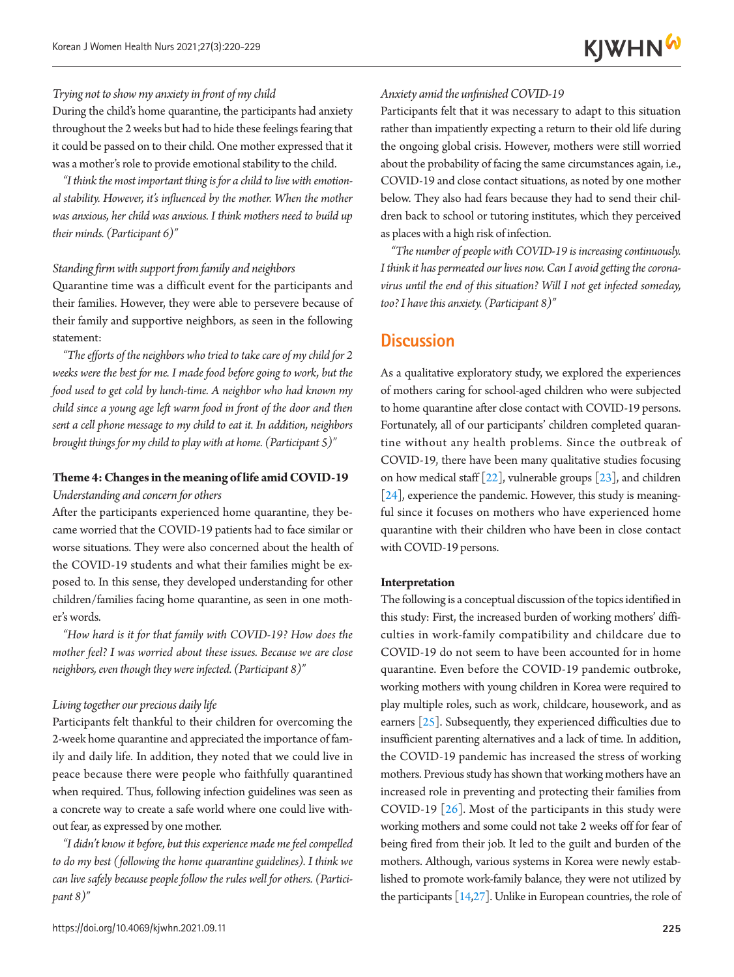### *Trying not to show my anxiety in front of my child*

During the child's home quarantine, the participants had anxiety throughout the 2 weeks but had to hide these feelings fearing that it could be passed on to their child. One mother expressed that it was a mother's role to provide emotional stability to the child.

*"I think the most important thing is for a child to live with emotional stability. However, it's influenced by the mother. When the mother was anxious, her child was anxious. I think mothers need to build up their minds. (Participant 6)"* 

#### *Standing firm with support from family and neighbors*

Quarantine time was a difficult event for the participants and their families. However, they were able to persevere because of their family and supportive neighbors, as seen in the following statement:

*"The efforts of the neighbors who tried to take care of my child for 2 weeks were the best for me. I made food before going to work, but the food used to get cold by lunch-time. A neighbor who had known my child since a young age left warm food in front of the door and then sent a cell phone message to my child to eat it. In addition, neighbors brought things for my child to play with at home. (Participant 5)"* 

### **Theme 4: Changes in the meaning of life amid COVID-19**  *Understanding and concern for others*

After the participants experienced home quarantine, they became worried that the COVID-19 patients had to face similar or worse situations. They were also concerned about the health of the COVID-19 students and what their families might be exposed to. In this sense, they developed understanding for other children/families facing home quarantine, as seen in one mother's words.

*"How hard is it for that family with COVID-19? How does the mother feel? I was worried about these issues. Because we are close neighbors, even though they were infected. (Participant 8)"* 

### *Living together our precious daily life*

Participants felt thankful to their children for overcoming the 2-week home quarantine and appreciated the importance of family and daily life. In addition, they noted that we could live in peace because there were people who faithfully quarantined when required. Thus, following infection guidelines was seen as a concrete way to create a safe world where one could live without fear, as expressed by one mother.

*"I didn't know it before, but this experience made me feel compelled to do my best (following the home quarantine guidelines). I think we can live safely because people follow the rules well for others. (Participant 8)"* 

#### *Anxiety amid the unfinished COVID-19*

Participants felt that it was necessary to adapt to this situation rather than impatiently expecting a return to their old life during the ongoing global crisis. However, mothers were still worried about the probability of facing the same circumstances again, i.e., COVID-19 and close contact situations, as noted by one mother below. They also had fears because they had to send their children back to school or tutoring institutes, which they perceived as places with a high risk of infection.

*"The number of people with COVID-19 is increasing continuously. I think it has permeated our lives now. Can I avoid getting the coronavirus until the end of this situation? Will I not get infected someday, too? I have this anxiety. (Participant 8)"* 

### **Discussion**

As a qualitative exploratory study, we explored the experiences of mothers caring for school-aged children who were subjected to home quarantine after close contact with COVID-19 persons. Fortunately, all of our participants' children completed quarantine without any health problems. Since the outbreak of COVID-19, there have been many qualitative studies focusing on how medical staff  $[22]$  $[22]$ , vulnerable groups  $[23]$  $[23]$  $[23]$ , and children [\[24\]](#page-9-0), experience the pandemic. However, this study is meaningful since it focuses on mothers who have experienced home quarantine with their children who have been in close contact with COVID-19 persons.

#### **Interpretation**

The following is a conceptual discussion of the topics identified in this study: First, the increased burden of working mothers' difficulties in work-family compatibility and childcare due to COVID-19 do not seem to have been accounted for in home quarantine. Even before the COVID-19 pandemic outbroke, working mothers with young children in Korea were required to play multiple roles, such as work, childcare, housework, and as earners [\[25\]](#page-9-0). Subsequently, they experienced difficulties due to insufficient parenting alternatives and a lack of time. In addition, the COVID-19 pandemic has increased the stress of working mothers. Previous study has shown that working mothers have an increased role in preventing and protecting their families from COVID-19 [\[26\]](#page-9-1). Most of the participants in this study were working mothers and some could not take 2 weeks off for fear of being fired from their job. It led to the guilt and burden of the mothers. Although, various systems in Korea were newly established to promote work-family balance, they were not utilized by the participants  $[14,27]$  $[14,27]$ . Unlike in European countries, the role of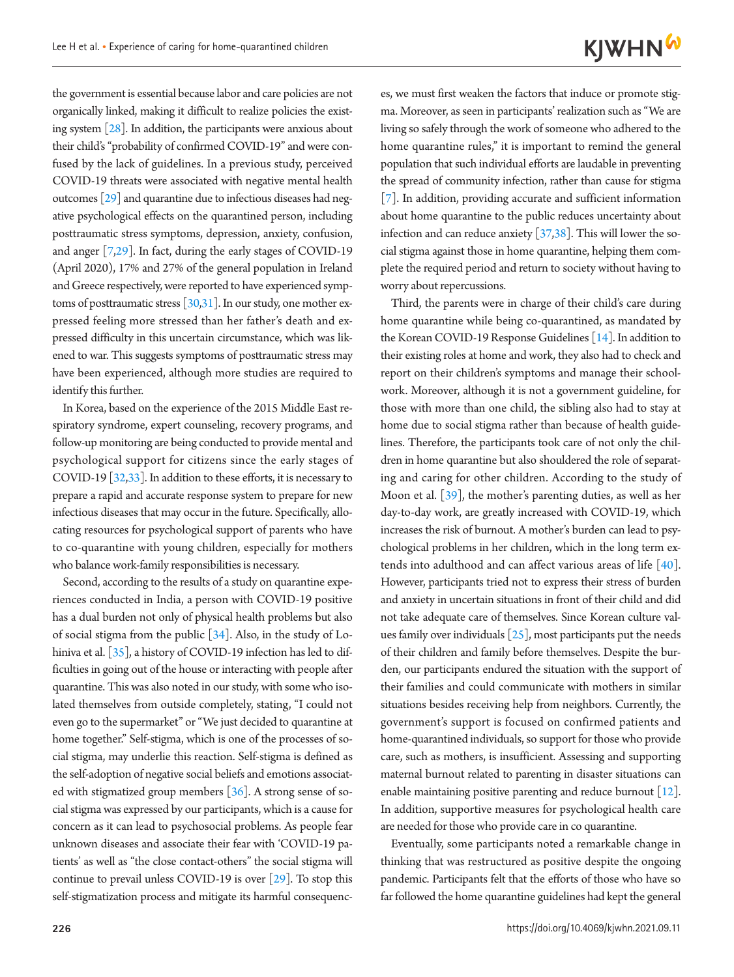the government is essential because labor and care policies are not organically linked, making it difficult to realize policies the existing system [\[28\]](#page-9-3). In addition, the participants were anxious about their child's "probability of confirmed COVID-19" and were confused by the lack of guidelines. In a previous study, perceived COVID-19 threats were associated with negative mental health outcomes [\[29\]](#page-9-4) and quarantine due to infectious diseases had negative psychological effects on the quarantined person, including posttraumatic stress symptoms, depression, anxiety, confusion, and anger [[7,29](#page-9-4)]. In fact, during the early stages of COVID-19 (April 2020), 17% and 27% of the general population in Ireland and Greece respectively, were reported to have experienced symptoms of posttraumatic stress [\[30](#page-9-5)[,31](#page-9-6)]. In our study, one mother expressed feeling more stressed than her father's death and expressed difficulty in this uncertain circumstance, which was likened to war. This suggests symptoms of posttraumatic stress may have been experienced, although more studies are required to identify this further.

In Korea, based on the experience of the 2015 Middle East respiratory syndrome, expert counseling, recovery programs, and follow-up monitoring are being conducted to provide mental and psychological support for citizens since the early stages of COVID-19 [\[32,](#page-9-7)[33\]](#page-9-8). In addition to these efforts, it is necessary to prepare a rapid and accurate response system to prepare for new infectious diseases that may occur in the future. Specifically, allocating resources for psychological support of parents who have to co-quarantine with young children, especially for mothers who balance work-family responsibilities is necessary.

Second, according to the results of a study on quarantine experiences conducted in India, a person with COVID-19 positive has a dual burden not only of physical health problems but also of social stigma from the public [\[34\]](#page-9-9). Also, in the study of Lo-hiniva et al. [\[35\]](#page-9-7), a history of COVID-19 infection has led to difficulties in going out of the house or interacting with people after quarantine. This was also noted in our study, with some who isolated themselves from outside completely, stating, "I could not even go to the supermarket" or "We just decided to quarantine at home together." Self-stigma, which is one of the processes of social stigma, may underlie this reaction. Self-stigma is defined as the self-adoption of negative social beliefs and emotions associated with stigmatized group members  $[36]$  $[36]$ . A strong sense of social stigma was expressed by our participants, which is a cause for concern as it can lead to psychosocial problems. As people fear unknown diseases and associate their fear with 'COVID-19 patients' as well as "the close contact-others" the social stigma will continue to prevail unless COVID-19 is over [\[29\]](#page-9-4). To stop this self-stigmatization process and mitigate its harmful consequenc-

es, we must first weaken the factors that induce or promote stigma. Moreover, as seen in participants' realization such as "We are living so safely through the work of someone who adhered to the home quarantine rules," it is important to remind the general population that such individual efforts are laudable in preventing the spread of community infection, rather than cause for stigma [7]. In addition, providing accurate and sufficient information about home quarantine to the public reduces uncertainty about infection and can reduce anxiety [\[37](#page-9-11)[,38\]](#page-9-12). This will lower the social stigma against those in home quarantine, helping them complete the required period and return to society without having to worry about repercussions.

Third, the parents were in charge of their child's care during home quarantine while being co-quarantined, as mandated by the Korean COVID-19 Response Guidelines [14]. In addition to their existing roles at home and work, they also had to check and report on their children's symptoms and manage their schoolwork. Moreover, although it is not a government guideline, for those with more than one child, the sibling also had to stay at home due to social stigma rather than because of health guidelines. Therefore, the participants took care of not only the children in home quarantine but also shouldered the role of separating and caring for other children. According to the study of Moon et al.  $\left[39\right]$  $\left[39\right]$  $\left[39\right]$ , the mother's parenting duties, as well as her day-to-day work, are greatly increased with COVID-19, which increases the risk of burnout. A mother's burden can lead to psychological problems in her children, which in the long term extends into adulthood and can affect various areas of life [\[40\]](#page-9-14). However, participants tried not to express their stress of burden and anxiety in uncertain situations in front of their child and did not take adequate care of themselves. Since Korean culture values family over individuals  $[25]$ , most participants put the needs of their children and family before themselves. Despite the burden, our participants endured the situation with the support of their families and could communicate with mothers in similar situations besides receiving help from neighbors. Currently, the government's support is focused on confirmed patients and home-quarantined individuals, so support for those who provide care, such as mothers, is insufficient. Assessing and supporting maternal burnout related to parenting in disaster situations can enable maintaining positive parenting and reduce burnout [12]. In addition, supportive measures for psychological health care are needed for those who provide care in co quarantine.

Eventually, some participants noted a remarkable change in thinking that was restructured as positive despite the ongoing pandemic. Participants felt that the efforts of those who have so far followed the home quarantine guidelines had kept the general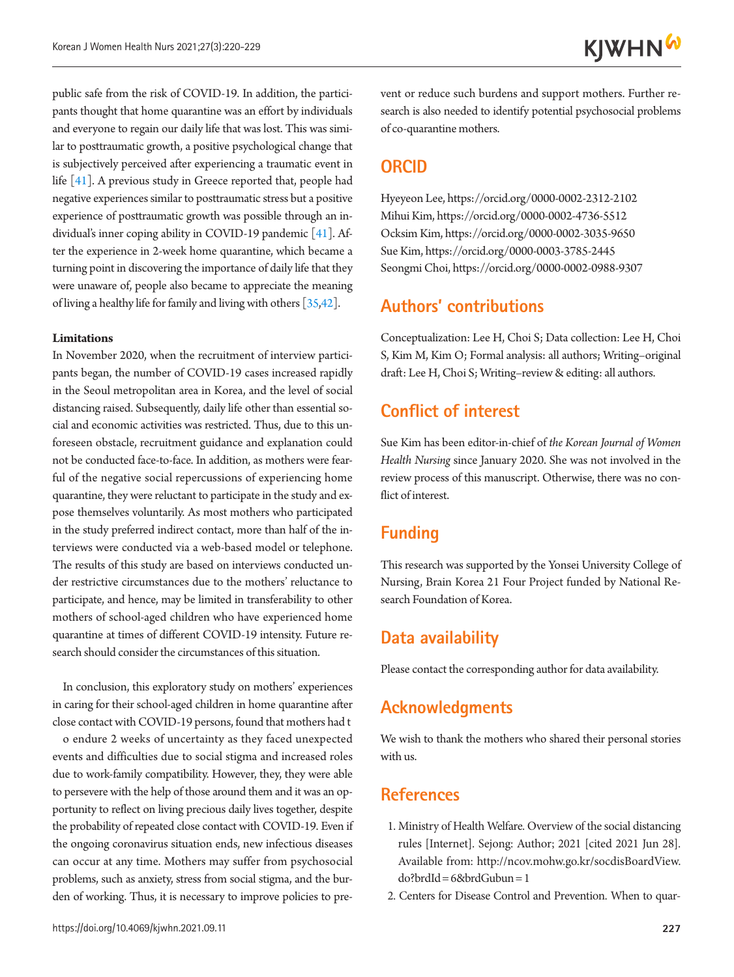public safe from the risk of COVID-19. In addition, the participants thought that home quarantine was an effort by individuals and everyone to regain our daily life that was lost. This was similar to posttraumatic growth, a positive psychological change that is subjectively perceived after experiencing a traumatic event in life [\[41\]](#page-9-13). A previous study in Greece reported that, people had negative experiences similar to posttraumatic stress but a positive experience of posttraumatic growth was possible through an individual's inner coping ability in COVID-19 pandemic [\[41](#page-9-13)]. After the experience in 2-week home quarantine, which became a turning point in discovering the importance of daily life that they were unaware of, people also became to appreciate the meaning of living a healthy life for family and living with others [35,[42](#page-9-15)].

### **Limitations**

In November 2020, when the recruitment of interview participants began, the number of COVID-19 cases increased rapidly in the Seoul metropolitan area in Korea, and the level of social distancing raised. Subsequently, daily life other than essential social and economic activities was restricted. Thus, due to this unforeseen obstacle, recruitment guidance and explanation could not be conducted face-to-face. In addition, as mothers were fearful of the negative social repercussions of experiencing home quarantine, they were reluctant to participate in the study and expose themselves voluntarily. As most mothers who participated in the study preferred indirect contact, more than half of the interviews were conducted via a web-based model or telephone. The results of this study are based on interviews conducted under restrictive circumstances due to the mothers' reluctance to participate, and hence, may be limited in transferability to other mothers of school-aged children who have experienced home quarantine at times of different COVID-19 intensity. Future research should consider the circumstances of this situation.

In conclusion, this exploratory study on mothers' experiences in caring for their school-aged children in home quarantine after close contact with COVID-19 persons, found that mothers had t

o endure 2 weeks of uncertainty as they faced unexpected events and difficulties due to social stigma and increased roles due to work-family compatibility. However, they, they were able to persevere with the help of those around them and it was an opportunity to reflect on living precious daily lives together, despite the probability of repeated close contact with COVID-19. Even if the ongoing coronavirus situation ends, new infectious diseases can occur at any time. Mothers may suffer from psychosocial problems, such as anxiety, stress from social stigma, and the burden of working. Thus, it is necessary to improve policies to prevent or reduce such burdens and support mothers. Further research is also needed to identify potential psychosocial problems of co-quarantine mothers.

## **ORCID**

Hyeyeon Lee, https://orcid.org/0000-0002-2312-2102 Mihui Kim, https://orcid.org/0000-0002-4736-5512 Ocksim Kim, https://orcid.org/0000-0002-3035-9650 Sue Kim, https://orcid.org/0000-0003-3785-2445 Seongmi Choi, https://orcid.org/0000-0002-0988-9307

## **Authors' contributions**

Conceptualization: Lee H, Choi S; Data collection: Lee H, Choi S, Kim M, Kim O; Formal analysis: all authors; Writing–original draft: Lee H, Choi S; Writing–review & editing: all authors.

## **Conflict of interest**

Sue Kim has been editor-in-chief of *the Korean Journal of Women Health Nursing* since January 2020. She was not involved in the review process of this manuscript. Otherwise, there was no conflict of interest.

## **Funding**

This research was supported by the Yonsei University College of Nursing, Brain Korea 21 Four Project funded by National Research Foundation of Korea.

## **Data availability**

Please contact the corresponding author for data availability.

## **Acknowledgments**

We wish to thank the mothers who shared their personal stories with us.

## <span id="page-7-0"></span>**References**

- 1. Ministry of Health Welfare. Overview of the social distancing rules [Internet]. Sejong: Author; 2021 [cited 2021 Jun 28]. Available from: http://ncov.mohw.go.kr/socdisBoardView. do?brdId= 6&brdGubun= 1
- <span id="page-7-1"></span>2. Centers for Disease Control and Prevention. When to quar-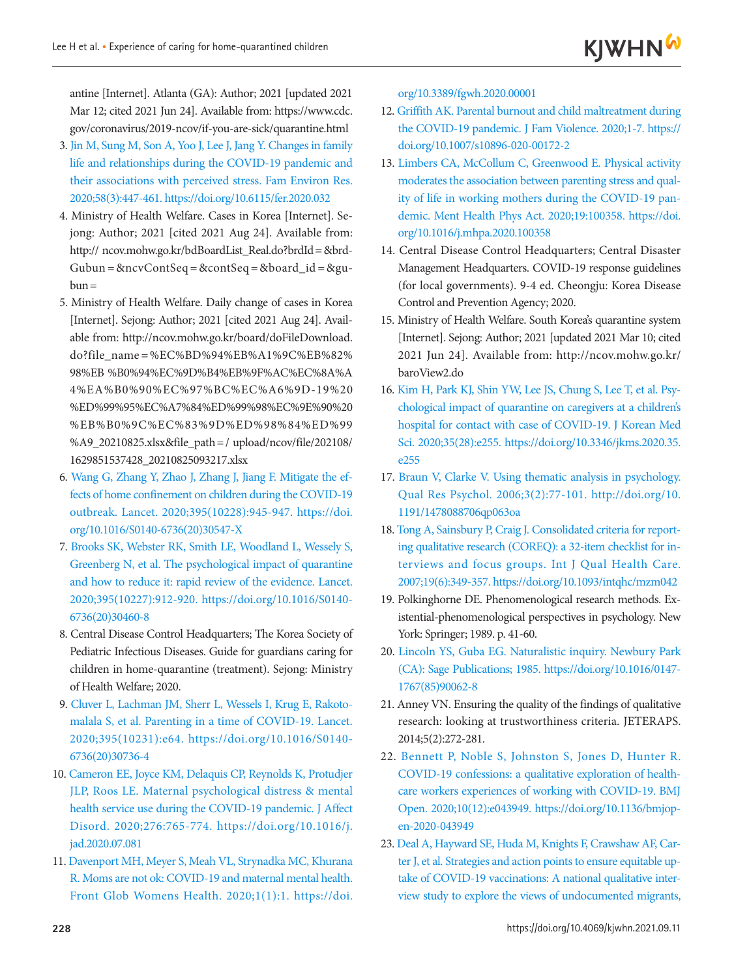antine [Internet]. Atlanta (GA): Author; 2021 [updated 2021 Mar 12; cited 2021 Jun 24]. Available from: https:/[/www.cdc.](www.cdc.gov/coronavirus/2019-ncov/if-you-are-sick/quarantine.html.) [gov/coronavirus/2019-ncov/if-you-are-sick/quarantine.html](www.cdc.gov/coronavirus/2019-ncov/if-you-are-sick/quarantine.html.)

- <span id="page-8-0"></span>3. [Jin M, Sung M, Son A, Yoo J, Lee J, Jang Y. Changes in family](https://doi.org/10.6115/fer.2020.032) [life and relationships during the COVID-19 pandemic and](https://doi.org/10.6115/fer.2020.032) [their associations with perceived stress. Fam Environ Res.](https://doi.org/10.6115/fer.2020.032) [2020;58\(3\):447-461. https://doi.org/10.6115/fer.2020.032](https://doi.org/10.6115/fer.2020.032)
- <span id="page-8-1"></span>4. Ministry of Health Welfare. Cases in Korea [Internet]. Sejong: Author; 2021 [cited 2021 Aug 24]. Available from: http:// ncov.mohw.go.kr/bdBoardList\_Real.do?brdId= &brd- $Gubun = &ncvContSeq = &contSeq = & board_id = & gul$  $b$ un $=$
- <span id="page-8-4"></span><span id="page-8-2"></span>5. Ministry of Health Welfare. Daily change of cases in Korea [Internet]. Sejong: Author; 2021 [cited 2021 Aug 24]. Available from: http://ncov.mohw.go.kr/board/doFileDownload. do?file\_name =%EC%BD%94%EB%A1%9C%EB%82% 98%EB %B0%94%EC%9D%B4%EB%9F%AC%EC%8A%A 4%EA%B0%90%EC%97%BC%EC%A6%9D-19%20 %ED%99%95%EC%A7%84%ED%99%98%EC%9E%90%20 %EB%B0%9C%EC%83%9D%ED%98%84%ED%99 %A9\_20210825.xlsx&file\_path= / upload/ncov/file/202108/ 1629851537428\_20210825093217.xlsx
- <span id="page-8-3"></span>6[. Wang G, Zhang Y, Zhao J, Zhang J, Jiang F. Mitigate the ef](https://doi.org/10.1016/S0140-6736(20)30547-X)[fects of home confinement on children during the COVID-19](https://doi.org/10.1016/S0140-6736(20)30547-X)  [outbreak. Lancet. 2020;395\(10228\):945-947. https://doi.](https://doi.org/10.1016/S0140-6736(20)30547-X) [org/10.1016/S0140-6736\(20\)30547-X](https://doi.org/10.1016/S0140-6736(20)30547-X)
- 7. [Brooks SK, Webster RK, Smith LE, Woodland L, Wessely S,](https://doi.org/10.1016/S0140-6736(20)30460-8) [Greenberg N, et al. The psychological impact of quarantine](https://doi.org/10.1016/S0140-6736(20)30460-8) [and how to reduce it: rapid review of the evidence. Lancet.](https://doi.org/10.1016/S0140-6736(20)30460-8) [2020;395\(10227\):912-920. https://doi.org/10.1016/S](https://doi.org/10.1016/S0140-6736(20)30460-8)0140- 6736(20)30460-8
- <span id="page-8-5"></span>8. Central Disease Control Headquarters; The Korea Society of Pediatric Infectious Diseases. Guide for guardians caring for children in home-quarantine (treatment). Sejong: Ministry of Health Welfare; 2020.
- <span id="page-8-6"></span>9. Cluver L, Lachman JM, Sherr L, [Wessels I, Krug E, Rakoto](https://doi.org/10.1016/S0140-6736(20)30736-4)[malala S, et al. Parenting in a time of COVID-19. Lancet.](https://doi.org/10.1016/S0140-6736(20)30736-4)  [2020;395\(10231\):e64. https://doi.org/10.1016/S0140-](https://doi.org/10.1016/S0140-6736(20)30736-4) [6736\(20\)30736-4](https://doi.org/10.1016/S0140-6736(20)30736-4)
- <span id="page-8-7"></span>10[. Cameron EE, Joyce KM, Delaquis CP, Reynolds K, Protudjer](https://doi.org/10.1016/j.jad.2020.07.081) [JLP, Roos LE. Maternal psychological distress & mental](https://doi.org/10.1016/j.jad.2020.07.081) [health service use during the COVID-19 pandemic. J Affect](https://doi.org/10.1016/j.jad.2020.07.081) [Disord. 2020;276:765-774. https://doi.org/10.1016/j.](https://doi.org/10.1016/j.jad.2020.07.081) [jad](https://doi.org/10.1016/j.jad.2020.07.081).2020.07.081
- <span id="page-8-8"></span>11[. Davenport MH, Meyer S, Meah VL, Strynadka MC, Khurana](https://doi.org/10.3389/fgwh.2020.00001) [R. Moms are not ok: COVID-19 and maternal mental health.](https://doi.org/10.3389/fgwh.2020.00001) [Front Glob Womens Health. 2020;1\(1\):1. https://doi.](https://doi.org/10.3389/fgwh.2020.00001)

[org/10.3389/fgwh.2020.00001](https://doi.org/10.3389/fgwh.2020.00001)

- 12. Griffith AK. Parental burnout and child maltreatment during the COVID-19 pandemic. J Fam Violence. 2020;1-7. https:// doi.org/10.1007/s10896-020-00172-2
- <span id="page-8-9"></span>1[3. Limbers CA, McCollum C, Greenwood E. Physical activity](https://doi.org/10.1016/j.mhpa.2020.100358)  [moderates the association between parenting stress and qual](https://doi.org/10.1016/j.mhpa.2020.100358)[ity of life in working mothers during the COVID-19 pan](https://doi.org/10.1016/j.mhpa.2020.100358)[demic. Ment Health Phys Act. 2020;19:100358. https://doi.](https://doi.org/10.1016/j.mhpa.2020.100358) [org/](https://doi.org/10.1016/j.mhpa.2020.100358)10.1016/j.mhpa.2020.100358
- <span id="page-8-10"></span>14. Central Disease Control Headquarters; Central Disaster Management Headquarters. COVID-19 response guidelines (for local governments). 9-4 ed. Cheongju: Korea Disease Control and Prevention Agency; 2020.
- <span id="page-8-11"></span>15. Ministry of Health Welfare. South Korea's quarantine system [Internet]. Sejong: Author; 2021 [updated 2021 Mar 10; cited 2021 Jun 24]. Available from: http://ncov.mohw.go.kr/ baroView2.do
- <span id="page-8-12"></span>1[6. Kim H, Park KJ, Shin YW, Lee JS, Chung S, Lee T, et al. Psy](https://doi.org/10.3346/jkms.2020.35.e255)[chological impact of quarantine on caregivers at a children's](https://doi.org/10.3346/jkms.2020.35.e255)  [hospital for contact with case of COVID-19. J Korean Med](https://doi.org/10.3346/jkms.2020.35.e255)  [Sci. 2020;35\(28\):e255. https://doi.org/10.3346/jkms.](https://doi.org/10.3346/jkms.2020.35.e255)2020.35. e255
- <span id="page-8-15"></span>17. [Braun V, Clarke V. Using thematic analysis in psychology.](https://doi.org/10.1191/1478088706qp063oa)  [Qual Res Psychol. 2006;3\(2\):77-101. http://doi.org/10.](https://doi.org/10.1191/1478088706qp063oa) [1191/1478088706qp063oa](https://doi.org/10.1191/1478088706qp063oa)
- <span id="page-8-13"></span>1[8. Tong A, Sainsbury P, Craig J. Consolidated criteria for report](https://doi.org/10.1093/intqhc/mzm042)[ing qualitative research \(COREQ\): a 32-item checklist for in](https://doi.org/10.1093/intqhc/mzm042)[terviews and focus groups. Int J Qual Health Care.](https://doi.org/10.1093/intqhc/mzm042)  [2007;19\(6\):349-357. https://doi.org/10.1093/intqhc/mzm042](https://doi.org/10.1093/intqhc/mzm042)
- <span id="page-8-14"></span>19. Polkinghorne DE. Phenomenological research methods. Existential-phenomenological perspectives in psychology. New York: Springer; 1989. p. 41-60.
- 20. [Lincoln YS, Guba EG. Naturalistic inquiry. Newbury Park](https://doi.org/10.1016/0147-1767(85)90062-8)  [\(CA\): Sage Publications; 1985.](https://doi.org/10.1016/0147-1767(85)90062-8) https://doi.org/10.1016/0147- 1767(85)90062-8
- <span id="page-8-16"></span>21. Anney VN. Ensuring the quality of the findings of qualitative research: looking at trustworthiness criteria. JETERAPS. 2014;5(2):272-281.
- <span id="page-8-17"></span>22[. Bennett P, Noble S, Johnston S, Jones D, Hunter R.](https://doi.org/10.1136/bmjopen-2020-043949)  [COVID-19 confessions: a qualitative exploration of health](https://doi.org/10.1136/bmjopen-2020-043949)[care workers experiences of working with COVID-19. BMJ](https://doi.org/10.1136/bmjopen-2020-043949)  [Open. 2020;10\(12\):e043949. https://doi.org/10.1136](https://doi.org/10.1136/bmjopen-2020-043949)/bmjopen-2020-043949
- <span id="page-8-18"></span>2[3. Deal A, Hayward SE, Huda M, Knights F, Crawshaw AF, Car](https://doi.org/10.1016/j.jmh.2021.100050)[ter J, et al. Strategies and action points to ensure equitable up](https://doi.org/10.1016/j.jmh.2021.100050)[take of COVID-19 vaccinations: A national qualitative inter](https://doi.org/10.1016/j.jmh.2021.100050)[view study to explore the views of undocumente](https://doi.org/10.1016/j.jmh.2021.100050)d migrants,